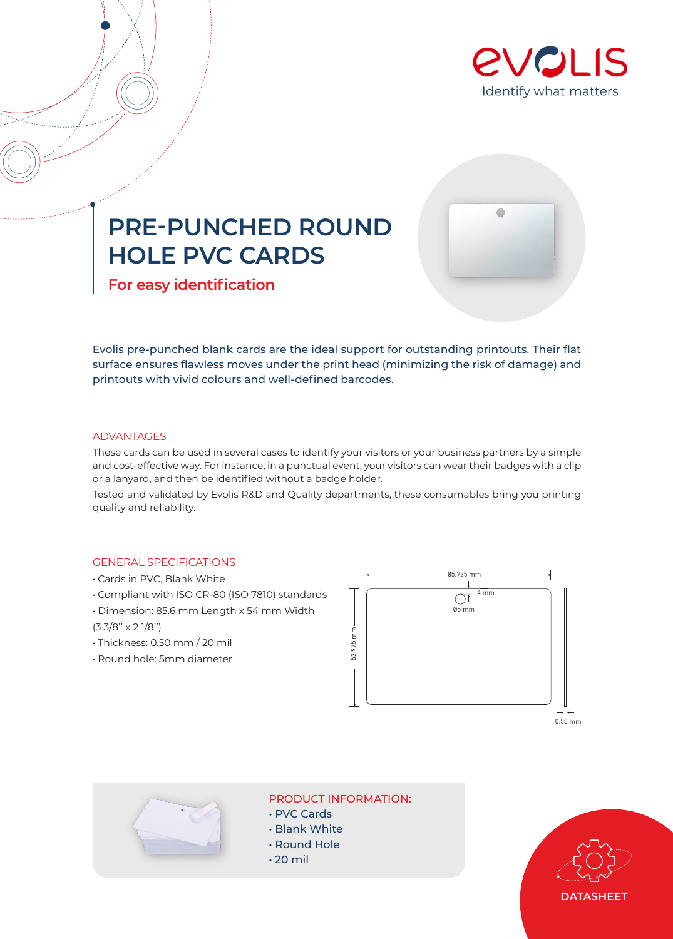

 $\bullet$ 

# **PRE-PUNCHED ROUND HOLE PVC CARDS**

**For easy identification**

Evolis pre-punched blank cards are the ideal support for outstanding printouts. Their flat surface ensures flawless moves under the print head (minimizing the risk of damage) and printouts with vivid colours and well-defined barcodes.

## **ADVANTAGES**

These cards can be used in several cases to identify your visitors or your business partners by a simple and cost-effective way. For instance, in a punctual event, your visitors can wear their badges with a clip or a lanyard, and then be identified without a badge holder.

Tested and validated by Evolis R&D and Quality departments, these consumables bring you printing quality and reliability.

# GENERAL SPECIFICATIONS

- Cards in PVC, Blank White
- Compliant with ISO CR-80 (ISO 7810) standards
- Dimension: 85.6 mm Length x 54 mm Width
- (3 3/8'' x 2 1/8'')
- Thickness: 0.50 mm / 20 mil
- Round hole: 5mm diameter





PRODUCT INFORMATION:

- PVC Cards
- Blank White
- Round Hole
- $\cdot$  20 mil